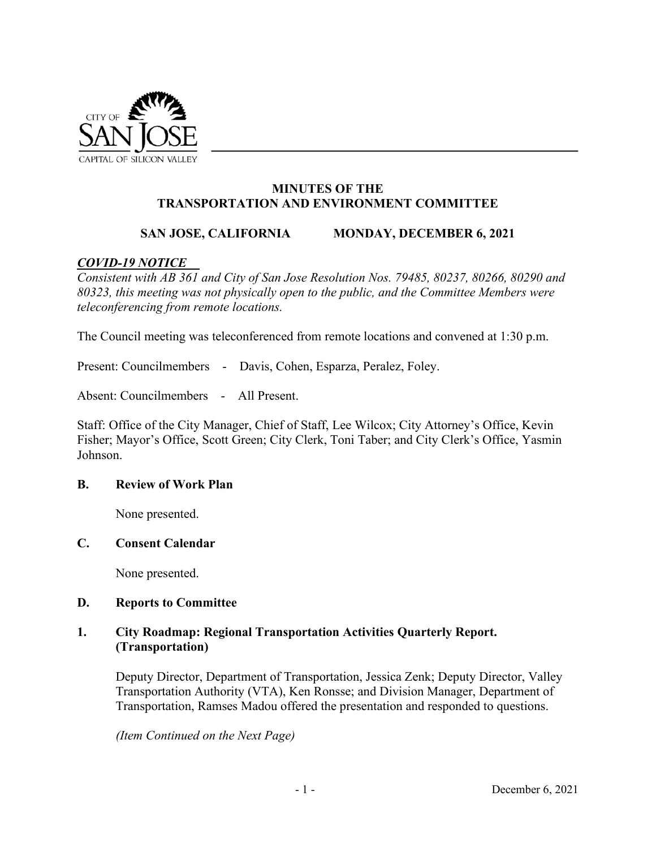

# **MINUTES OF THE TRANSPORTATION AND ENVIRONMENT COMMITTEE**

# **SAN JOSE, CALIFORNIA MONDAY, DECEMBER 6, 2021**

## *COVID-19 NOTICE*

*Consistent with AB 361 and City of San Jose Resolution Nos. 79485, 80237, 80266, 80290 and 80323, this meeting was not physically open to the public, and the Committee Members were teleconferencing from remote locations.* 

The Council meeting was teleconferenced from remote locations and convened at 1:30 p.m.

Present: Councilmembers - Davis, Cohen, Esparza, Peralez, Foley.

Absent: Councilmembers - All Present.

Staff: Office of the City Manager, Chief of Staff, Lee Wilcox; City Attorney's Office, Kevin Fisher; Mayor's Office, Scott Green; City Clerk, Toni Taber; and City Clerk's Office, Yasmin Johnson.

#### **B. Review of Work Plan**

None presented.

#### **C. Consent Calendar**

None presented.

### **D. Reports to Committee**

## **1. City Roadmap: Regional Transportation Activities Quarterly Report. (Transportation)**

Deputy Director, Department of Transportation, Jessica Zenk; Deputy Director, Valley Transportation Authority (VTA), Ken Ronsse; and Division Manager, Department of Transportation, Ramses Madou offered the presentation and responded to questions.

*(Item Continued on the Next Page)*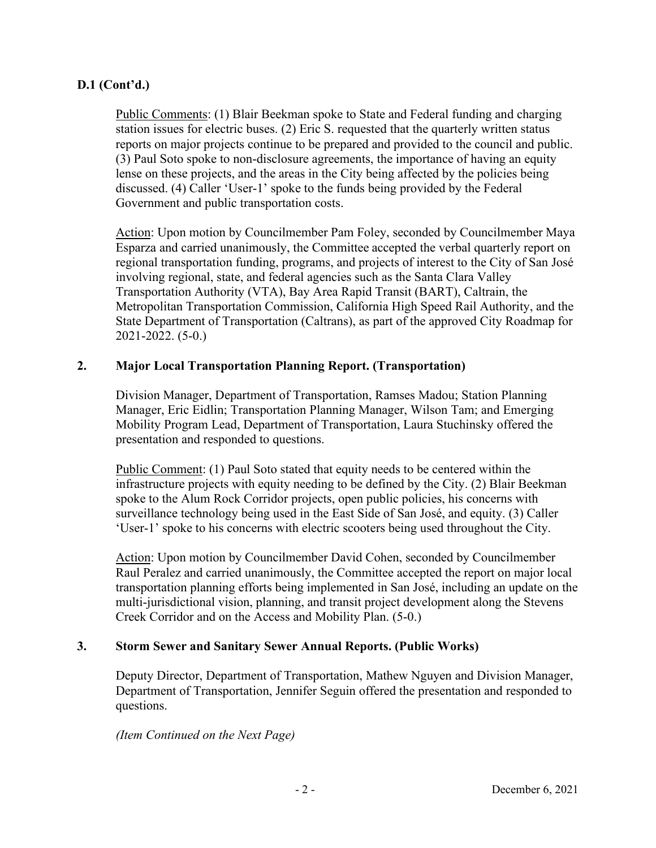# **D.1 (Cont'd.)**

Public Comments: (1) Blair Beekman spoke to State and Federal funding and charging station issues for electric buses. (2) Eric S. requested that the quarterly written status reports on major projects continue to be prepared and provided to the council and public. (3) Paul Soto spoke to non-disclosure agreements, the importance of having an equity lense on these projects, and the areas in the City being affected by the policies being discussed. (4) Caller 'User-1' spoke to the funds being provided by the Federal Government and public transportation costs.

Action: Upon motion by Councilmember Pam Foley, seconded by Councilmember Maya Esparza and carried unanimously, the Committee accepted the verbal quarterly report on regional transportation funding, programs, and projects of interest to the City of San José involving regional, state, and federal agencies such as the Santa Clara Valley Transportation Authority (VTA), Bay Area Rapid Transit (BART), Caltrain, the Metropolitan Transportation Commission, California High Speed Rail Authority, and the State Department of Transportation (Caltrans), as part of the approved City Roadmap for 2021-2022. (5-0.)

# **2. Major Local Transportation Planning Report. (Transportation)**

Division Manager, Department of Transportation, Ramses Madou; Station Planning Manager, Eric Eidlin; Transportation Planning Manager, Wilson Tam; and Emerging Mobility Program Lead, Department of Transportation, Laura Stuchinsky offered the presentation and responded to questions.

Public Comment: (1) Paul Soto stated that equity needs to be centered within the infrastructure projects with equity needing to be defined by the City. (2) Blair Beekman spoke to the Alum Rock Corridor projects, open public policies, his concerns with surveillance technology being used in the East Side of San José, and equity. (3) Caller 'User-1' spoke to his concerns with electric scooters being used throughout the City.

Action: Upon motion by Councilmember David Cohen, seconded by Councilmember Raul Peralez and carried unanimously, the Committee accepted the report on major local transportation planning efforts being implemented in San José, including an update on the multi-jurisdictional vision, planning, and transit project development along the Stevens Creek Corridor and on the Access and Mobility Plan. (5-0.)

# **3. Storm Sewer and Sanitary Sewer Annual Reports. (Public Works)**

Deputy Director, Department of Transportation, Mathew Nguyen and Division Manager, Department of Transportation, Jennifer Seguin offered the presentation and responded to questions.

*(Item Continued on the Next Page)*